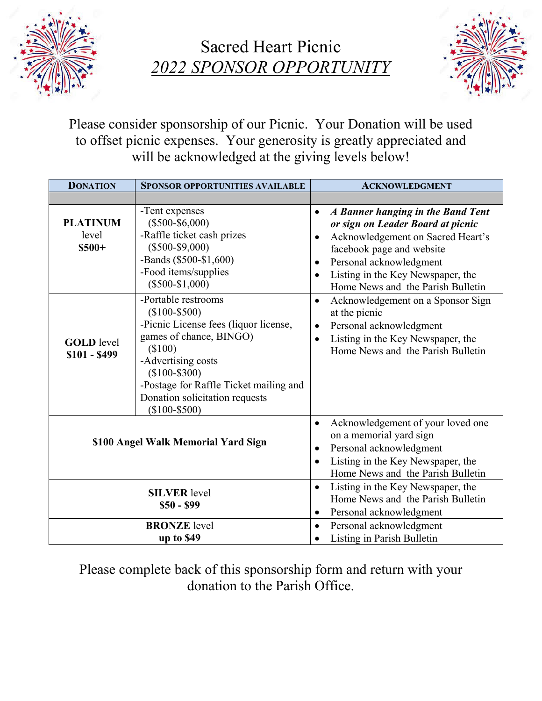

Sacred Heart Picnic *2022 SPONSOR OPPORTUNITY* 



Please consider sponsorship of our Picnic. Your Donation will be used to offset picnic expenses. Your generosity is greatly appreciated and will be acknowledged at the giving levels below!

| <b>DONATION</b>                     | <b>SPONSOR OPPORTUNITIES AVAILABLE</b>                                                                                                                                                                                                                              | <b>ACKNOWLEDGMENT</b>                                                                                                                                                                                                                                      |
|-------------------------------------|---------------------------------------------------------------------------------------------------------------------------------------------------------------------------------------------------------------------------------------------------------------------|------------------------------------------------------------------------------------------------------------------------------------------------------------------------------------------------------------------------------------------------------------|
|                                     |                                                                                                                                                                                                                                                                     |                                                                                                                                                                                                                                                            |
| <b>PLATINUM</b><br>level<br>$$500+$ | -Tent expenses<br>$(\$500-\$6,000)$<br>-Raffle ticket cash prizes<br>$(\$500-\$9,000)$<br>-Bands (\$500-\$1,600)<br>-Food items/supplies<br>$(\$500-\$1,000)$                                                                                                       | A Banner hanging in the Band Tent<br>$\bullet$<br>or sign on Leader Board at picnic<br>Acknowledgement on Sacred Heart's<br>facebook page and website<br>Personal acknowledgment<br>Listing in the Key Newspaper, the<br>Home News and the Parish Bulletin |
| <b>GOLD</b> level<br>$$101 - $499$  | -Portable restrooms<br>$(\$100 - \$500)$<br>-Picnic License fees (liquor license,<br>games of chance, BINGO)<br>(\$100)<br>-Advertising costs<br>$(\$100 - \$300)$<br>-Postage for Raffle Ticket mailing and<br>Donation solicitation requests<br>$(\$100 - \$500)$ | Acknowledgement on a Sponsor Sign<br>$\bullet$<br>at the picnic<br>Personal acknowledgment<br>$\bullet$<br>Listing in the Key Newspaper, the<br>Home News and the Parish Bulletin                                                                          |
| \$100 Angel Walk Memorial Yard Sign |                                                                                                                                                                                                                                                                     | Acknowledgement of your loved one<br>٠<br>on a memorial yard sign<br>Personal acknowledgment<br>$\bullet$<br>Listing in the Key Newspaper, the<br>$\bullet$<br>Home News and the Parish Bulletin                                                           |
| <b>SILVER</b> level<br>$$50 - $99$  |                                                                                                                                                                                                                                                                     | Listing in the Key Newspaper, the<br>٠<br>Home News and the Parish Bulletin<br>Personal acknowledgment<br>$\bullet$                                                                                                                                        |
| <b>BRONZE</b> level<br>up to \$49   |                                                                                                                                                                                                                                                                     | Personal acknowledgment<br>$\bullet$<br>Listing in Parish Bulletin                                                                                                                                                                                         |

Please complete back of this sponsorship form and return with your donation to the Parish Office.